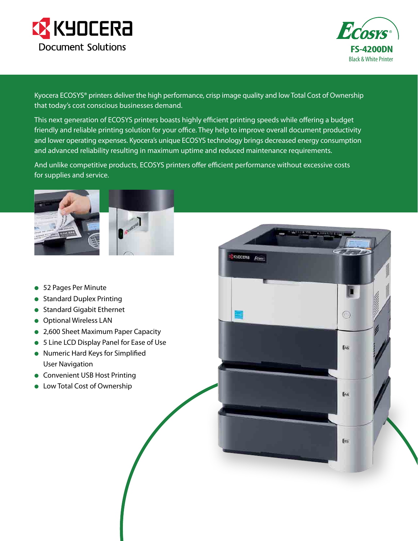



 $\circled{\scriptstyle\wedge}$ 

**A6** 

**LA4** 

**[85** 

Kyocera ECOSYS® printers deliver the high performance, crisp image quality and low Total Cost of Ownership that today's cost conscious businesses demand.

This next generation of ECOSYS printers boasts highly efficient printing speeds while offering a budget friendly and reliable printing solution for your office. They help to improve overall document productivity and lower operating expenses. Kyocera's unique ECOSYS technology brings decreased energy consumption and advanced reliability resulting in maximum uptime and reduced maintenance requirements.

And unlike competitive products, ECOSYS printers offer efficient performance without excessive costs for supplies and service.

**EKYOCERA** Ecosy



- 52 Pages Per Minute
- **Standard Duplex Printing**
- **Standard Gigabit Ethernet**
- **•** Optional Wireless LAN
- 2,600 Sheet Maximum Paper Capacity
- 5 Line LCD Display Panel for Ease of Use
- **Numeric Hard Keys for Simplified** User Navigation
- **Convenient USB Host Printing**
- **•** Low Total Cost of Ownership